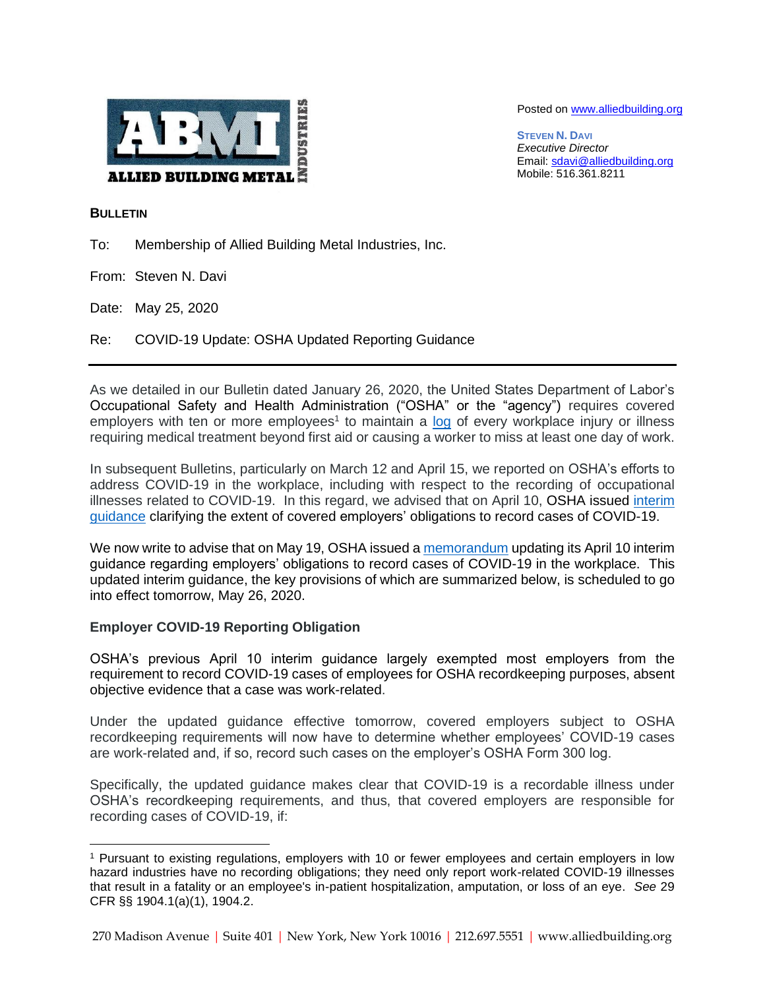

Posted on [www.alliedbuilding.org](http://www.alliedbuilding.org/)

**STEVEN N. DAVI** *Executive Director* Email[: sdavi@alliedbuilding.org](mailto:sdavi@alliedbuilding.org) Mobile: 516.361.8211

## **BULLETIN**

To: Membership of Allied Building Metal Industries, Inc.

From: Steven N. Davi

Date: May 25, 2020

Re: COVID-19 Update: OSHA Updated Reporting Guidance

As we detailed in our Bulletin dated January 26, 2020, the United States Department of Labor's Occupational Safety and Health Administration ("OSHA" or the "agency") requires covered employers with ten or more employees<sup>1</sup> to maintain a [log](https://www.osha.gov/recordkeeping/) of every workplace injury or illness requiring medical treatment beyond first aid or causing a worker to miss at least one day of work.

In subsequent Bulletins, particularly on March 12 and April 15, we reported on OSHA's efforts to address COVID-19 in the workplace, including with respect to the recording of occupational illnesses related to COVID-19. In this regard, we advised that on April 10, OSHA issued [interim](https://www.osha.gov/memos/2020-04-10/enforcement-guidance-recording-cases-coronavirus-disease-2019-covid-19#ftn3)  [guidance](https://www.osha.gov/memos/2020-04-10/enforcement-guidance-recording-cases-coronavirus-disease-2019-covid-19#ftn3) clarifying the extent of covered employers' obligations to record cases of COVID-19.

We now write to advise that on May 19, OSHA issued a [memorandum](https://www.osha.gov/memos/2020-05-19/revised-enforcement-guidance-recording-cases-coronavirus-disease-2019-covid-19) updating its April 10 interim guidance regarding employers' obligations to record cases of COVID-19 in the workplace. This updated interim guidance, the key provisions of which are summarized below, is scheduled to go into effect tomorrow, May 26, 2020.

## **Employer COVID-19 Reporting Obligation**

OSHA's previous April 10 interim guidance largely exempted most employers from the requirement to record COVID-19 cases of employees for OSHA recordkeeping purposes, absent objective evidence that a case was work-related.

Under the updated guidance effective tomorrow, covered employers subject to OSHA recordkeeping requirements will now have to determine whether employees' COVID-19 cases are work-related and, if so, record such cases on the employer's OSHA Form 300 log.

Specifically, the updated guidance makes clear that COVID-19 is a recordable illness under OSHA's recordkeeping requirements, and thus, that covered employers are responsible for recording cases of COVID-19, if:

<sup>1</sup> Pursuant to existing regulations, employers with 10 or fewer employees and certain employers in low hazard industries have no recording obligations; they need only report work-related COVID-19 illnesses that result in a fatality or an employee's in-patient hospitalization, amputation, or loss of an eye. *See* 29 CFR §§ 1904.1(a)(1), 1904.2.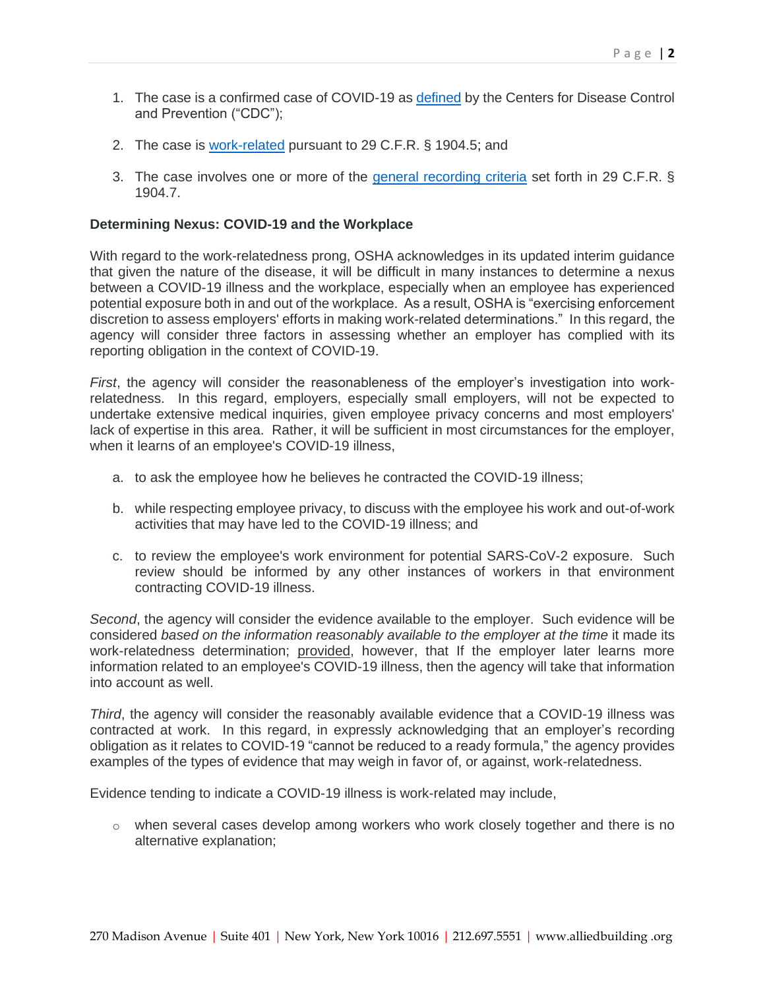- 1. The case is a confirmed case of COVID-19 as [defined](https://www.cdc.gov/coronavirus/2019-ncov/php/reporting-pui.html) by the Centers for Disease Control and Prevention ("CDC");
- 2. The case is [work-related](https://www.osha.gov/laws-regs/regulations/standardnumber/1904/1904.5) pursuant to 29 C.F.R. § 1904.5; and
- 3. The case involves one or more of the [general recording criteria](https://www.osha.gov/laws-regs/regulations/standardnumber/1904/1904.7) set forth in 29 C.F.R. § 1904.7.

## **Determining Nexus: COVID-19 and the Workplace**

With regard to the work-relatedness prong, OSHA acknowledges in its updated interim guidance that given the nature of the disease, it will be difficult in many instances to determine a nexus between a COVID-19 illness and the workplace, especially when an employee has experienced potential exposure both in and out of the workplace. As a result, OSHA is "exercising enforcement discretion to assess employers' efforts in making work-related determinations." In this regard, the agency will consider three factors in assessing whether an employer has complied with its reporting obligation in the context of COVID-19.

*First*, the agency will consider the reasonableness of the employer's investigation into workrelatedness. In this regard, employers, especially small employers, will not be expected to undertake extensive medical inquiries, given employee privacy concerns and most employers' lack of expertise in this area. Rather, it will be sufficient in most circumstances for the employer, when it learns of an employee's COVID-19 illness,

- a. to ask the employee how he believes he contracted the COVID-19 illness;
- b. while respecting employee privacy, to discuss with the employee his work and out-of-work activities that may have led to the COVID-19 illness; and
- c. to review the employee's work environment for potential SARS-CoV-2 exposure. Such review should be informed by any other instances of workers in that environment contracting COVID-19 illness.

*Second*, the agency will consider the evidence available to the employer. Such evidence will be considered *based on the information reasonably available to the employer at the time* it made its work-relatedness determination; provided, however, that If the employer later learns more information related to an employee's COVID-19 illness, then the agency will take that information into account as well.

*Third*, the agency will consider the reasonably available evidence that a COVID-19 illness was contracted at work. In this regard, in expressly acknowledging that an employer's recording obligation as it relates to COVID-19 "cannot be reduced to a ready formula," the agency provides examples of the types of evidence that may weigh in favor of, or against, work-relatedness.

Evidence tending to indicate a COVID-19 illness is work-related may include,

 $\circ$  when several cases develop among workers who work closely together and there is no alternative explanation;